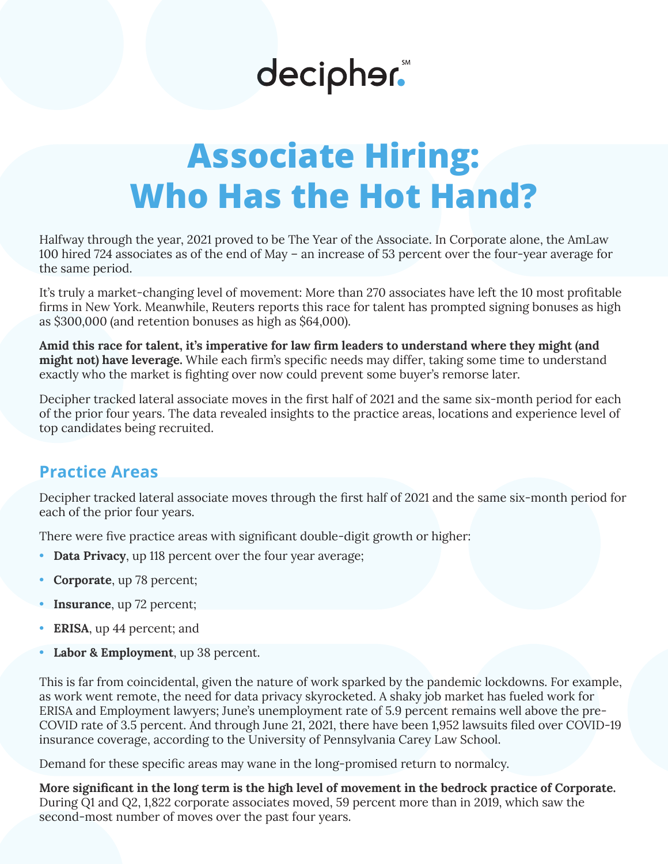# decipher.

## **Associate Hiring: Who Has the Hot Hand?**

Halfway through the year, 2021 proved to be The Year of the Associate. In Corporate alone, the AmLaw 100 hired 724 associates as of the end of May – an increase of 53 percent over the four-year average for the same period.

It's truly a market-changing level of movement: More than 270 associates have left the 10 most profitable firms in New York. Meanwhile, Reuters reports this race for talent has prompted signing bonuses as high as \$300,000 (and retention bonuses as high as \$64,000).

**Amid this race for talent, it's imperative for law firm leaders to understand where they might (and might not) have leverage.** While each firm's specific needs may differ, taking some time to understand exactly who the market is fighting over now could prevent some buyer's remorse later.

Decipher tracked lateral associate moves in the first half of 2021 and the same six-month period for each of the prior four years. The data revealed insights to the practice areas, locations and experience level of top candidates being recruited.

### **Practice Areas**

Decipher tracked lateral associate moves through the first half of 2021 and the same six-month period for each of the prior four years.

There were five practice areas with significant double-digit growth or higher:

- **Data Privacy**, up 118 percent over the four year average;
- **Corporate**, up 78 percent;
- **Insurance**, up 72 percent;
- **ERISA**, up 44 percent; and
- Labor & Employment, up 38 percent.

This is far from coincidental, given the nature of work sparked by the pandemic lockdowns. For example, as work went remote, the need for data privacy skyrocketed. A shaky job market has fueled work for ERISA and Employment lawyers; June's unemployment rate of 5.9 percent remains well above the pre-COVID rate of 3.5 percent. And through June 21, 2021, there have been 1,952 lawsuits filed over COVID-19 insurance coverage, according to the University of Pennsylvania Carey Law School.

Demand for these specific areas may wane in the long-promised return to normalcy.

**More significant in the long term is the high level of movement in the bedrock practice of Corporate.** During Q1 and Q2, 1,822 corporate associates moved, 59 percent more than in 2019, which saw the second-most number of moves over the past four years.